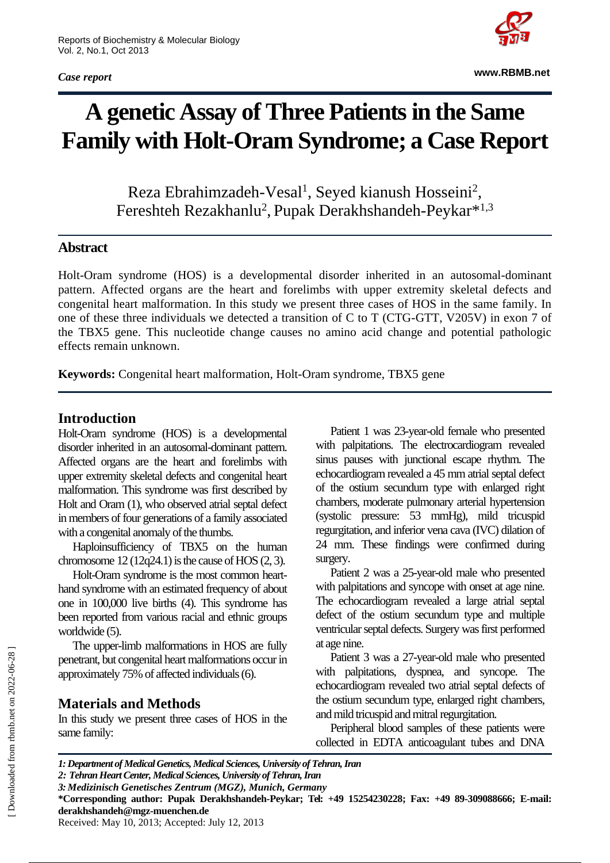*Case report*



**www.RBMB.net**

# **A genetic Assay of Three Patients in the Same Family with Holt-Oram Syndrome; a Case Report**

Reza Ebrahimzadeh-Vesal<sup>1</sup>, Seyed kianush Hosseini<sup>2</sup>, Fereshteh Rezakhanlu<sup>2</sup>, Pupak Derakhshandeh-Peykar<sup>\*1,3</sup>

## **Abstract**

Holt-Oram syndrome (HOS) is a developmental disorder inherited in an autosomal-dominant pattern. Affected organs are the heart and forelimbs with upper extremity skeletal defects and congenital heart malformation. In this study we present three cases of HOS in the same family. In one of these three individuals we detected a transition of C to T (CTG-GTT, V205V) in exon 7 of the TBX5 gene. This nucleotide change causes no amino acid change and potential pathologic effects remain unknown.

**Keywords:** Congenital heart malformation, Holt-Oram syndrome, TBX5 gene

## **Introduction**

Holt-Oram syndrome (HOS) is a developmental disorder inherited in an autosomal-dominant pattern. Affected organs are the heart and forelimbs with upper extremity skeletal defects and congenital heart malformation. This syndrome was first described by Holt and Oram (1), who observed atrial septal defect in members of four generations of a family associated with a congenital anomaly of the thumbs.

Haploinsufficiency of TBX5 on the human chromosome  $12(12q24.1)$  is the cause of HOS  $(2, 3)$ .

Holt-Oram syndrome is the most common hearthand syndrome with an estimated frequency of about one in 100,000 live births (4). This syndrome has been reported from various racial and ethnic groups worldwide (5).

The upper-limb malformations in HOS are fully penetrant, but congenital heart malformations occur in approximately 75% of affected individuals (6).

# **Materials and Methods**

In this study we present three cases of HOS in the same family:

Patient 1 was 23-year-old female who presented with palpitations. The electrocardiogram revealed sinus pauses with junctional escape rhythm. The echocardiogram revealed a 45 mm atrial septal defect of the ostium secundum type with enlarged right chambers, moderate pulmonary arterial hypertension (systolic pressure: 53 mmHg), mild tricuspid regurgitation, and inferior vena cava (IVC) dilation of 24 mm. These findings were confirmed during surgery.

Patient 2 was a 25-year-old male who presented with palpitations and syncope with onset at age nine. The echocardiogram revealed a large atrial septal defect of the ostium secundum type and multiple ventricular septal defects. Surgery was first performed at age nine.

Patient 3 was a 27-year-old male who presented with palpitations, dyspnea, and syncope. The echocardiogram revealed two atrial septal defects of the ostium secundum type, enlarged right chambers, and mild tricuspid and mitral regurgitation.

Peripheral blood samples of these patients were collected in EDTA anticoagulant tubes and DNA

*1: Department of Medical Genetics, Medical Sciences, University of Tehran, Iran*

*2: Tehran Heart Center, Medical Sciences, University of Tehran, Iran*

*3: Medizinisch Genetisches Zentrum (MGZ), Munich, Germany*

**<sup>\*</sup>Corresponding author: Pupak Derakhshandeh-Peykar; Tel: +49 15254230228; Fax: +49 89-309088666; E-mail: derakhshandeh@mgz-muenchen.de**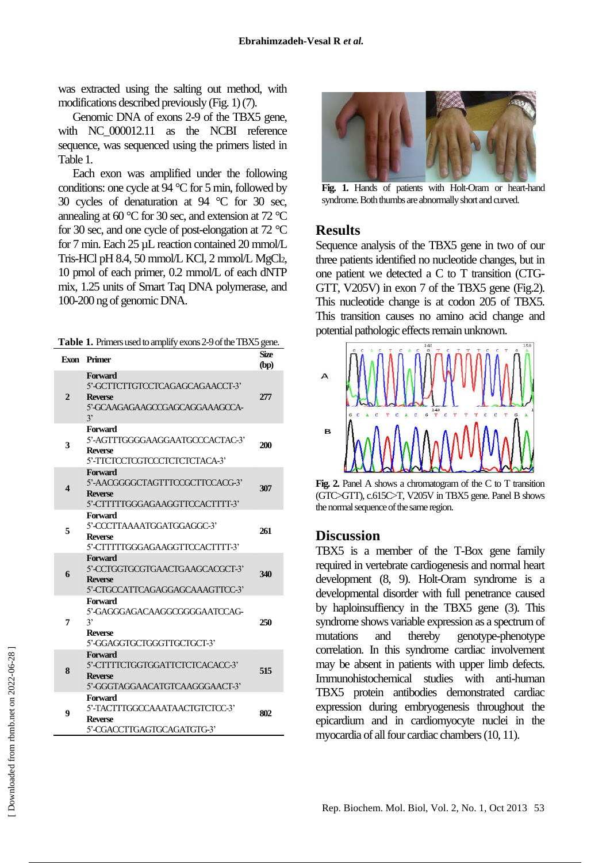was extracted using the salting out method, with modifications described previously (Fig. 1)(7).

Genomic DNA of exons 2-9 of the TBX5 gene, with NC\_000012.11 as the NCBI reference sequence, was sequenced using the primers listed in Table 1.

Each exon was amplified under the following conditions: one cycle at 94 °C for 5 min, followed by 30 cycles of denaturation at 94 °C for 30 sec, annealing at 60 °C for 30 sec, and extension at 72 °C for 30 sec, and one cycle of post-elongation at 72 °C for 7 min. Each 25 µL reaction contained 20 mmol/L Tris-HCl pH 8.4, 50 mmol/L KCl, 2 mmol/L MgCl2, 10 pmol of each primer, 0.2 mmol/L of each dNTP mix, 1.25 units of Smart Taq DNA polymerase, and 100-200 ng of genomic DNA.

| Table 1. Primers used to amplify exons 2-9 of the TBX5 gene. |  |  |  |  |  |
|--------------------------------------------------------------|--|--|--|--|--|
|--------------------------------------------------------------|--|--|--|--|--|

|                | Exon Primer                                                                                          | <b>Size</b><br>(bp) |
|----------------|------------------------------------------------------------------------------------------------------|---------------------|
| $\overline{2}$ | Forward<br>5'-GCTTCTTGTCCTCAGAGCAGAACCT-3'<br><b>Reverse</b><br>5'-GCAAGAGAAGCCGAGCAGGAAAGCCA-<br>3' | 277                 |
| 3              | Forward<br>5'-AGTTTGGGGAAGGAATGCCCACTAC-3'<br><b>Reverse</b><br>5'-TICICCICGICCCICICICTCACA-3'       | 200                 |
| 4              | Forward<br>5'-AACGGGGCTAGTTTCCGCTTCCACG-3'<br><b>Reverse</b><br>5'-CITITITGGGAGAAGGITCCACITIT-3'     | 307                 |
| 5              | Forward<br>5'-CCCTTAAAATGGATGGAGGC-3'<br><b>Reverse</b><br>5'-CITITITGGGAGAAGGTTCCACTTTT-3'          | 261                 |
| 6              | Forward<br>5'-CCTGGTGCGTGAACTGAAGCACGCT-3'<br><b>Reverse</b><br>5'-CTGCCATTCAGAGGAGCAAAGTTCC-3'      | 340                 |
| 7              | Forward<br>5'-GAGGGAGACAAGGCGGGGAATCCAG-<br>3'<br><b>Reverse</b><br>5'-GGAGGIGCIGGGITIGCIGCT-3'      | 250                 |
| 8              | Forward<br>5'-CITITICIGGIGGATICICICACACC-3'<br><b>Reverse</b><br>5'-GGGTAGGAACATGTCAAGGGAACT-3'      | 515                 |
| 9              | Forward<br>5'-TACTTTGGCCAAATAACTGTCTCC-3'<br><b>Reverse</b><br>5'-CGACCTTGAGTGCAGATGTG-3'            | 802                 |



**Fig. 1.** Hands of patients with Holt-Oram or heart-hand syndrome. Both thumbs are abnormally short and curved.

#### **Results**

Sequence analysis of the TBX5 gene in two of our three patients identified no nucleotide changes, but in one patient we detected a C to T transition (CTG-GTT, V205V) in exon 7 of the TBX5 gene (Fig.2). This nucleotide change is at codon 205 of TBX5. This transition causes no amino acid change and potential pathologic effects remain unknown.



**Fig. 2.** Panel A shows a chromatogram of the C to T transition (GTC>GTT), c.615C>T, V205V in TBX5 gene. Panel B shows the normal sequence of the same region.

#### **Discussion**

TBX5 is a member of the T-Box gene family required in vertebrate cardiogenesis and normal heart development (8, 9). Holt-Oram syndrome is a developmental disorder with full penetrance caused by haploinsuffiency in the TBX5 gene (3). This syndrome shows variable expression as a spectrum of mutations and thereby genotype-phenotype correlation. In this syndrome cardiac involvement may be absent in patients with upper limb defects. Immunohistochemical studies with anti-human TBX5 protein antibodies demonstrated cardiac expression during embryogenesis throughout the epicardium and in cardiomyocyte nuclei in the myocardia of all four cardiac chambers (10, 11).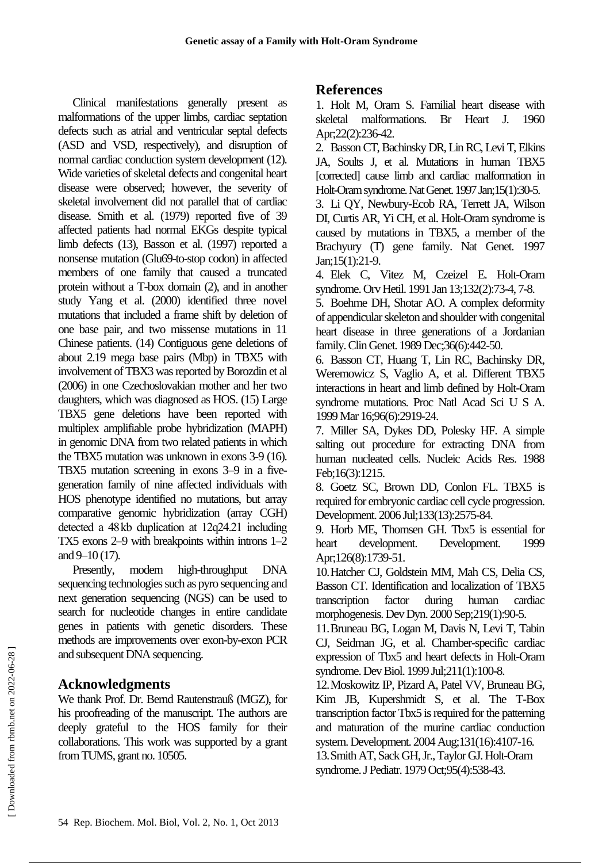Clinical manifestations generally present as malformations of the upper limbs, cardiac septation defects such as atrial and ventricular septal defects (ASD and VSD, respectively), and disruption of normal cardiac conduction system development (12). Wide varieties of skeletal defects and congenital heart disease were observed; however, the severity of skeletal involvement did not parallel that of cardiac disease. Smith et al. (1979) reported five of 39 affected patients had normal EKGs despite typical limb defects (13), Basson et al. (1997) reported a nonsense mutation (Glu69-to-stop codon) in affected members of one family that caused a truncated protein without a T-box domain (2), and in another study Yang et al. (2000) identified three novel mutations that included a frame shift by deletion of one base pair, and two missense mutations in 11 Chinese patients. (14) Contiguous gene deletions of about 2.19 mega base pairs (Mbp) in TBX5 with involvement of TBX3 was reported by Borozdin et al (2006) in one Czechoslovakian mother and her two daughters, which was diagnosed as HOS. (15) Large TBX5 gene deletions have been reported with multiplex amplifiable probe hybridization (MAPH) in genomic DNA from two related patients in which the TBX5 mutation was unknown in exons 3-9 (16). TBX5 mutation screening in exons 3–9 in a fivegeneration family of nine affected individuals with HOS phenotype identified no mutations, but array comparative genomic hybridization (array CGH) detected a 48 kb duplication at 12q24.21 including TX5 exons 2–9 with breakpoints within introns 1–2 and 9–10 (17).

Presently, modern high-throughput DNA sequencing technologies such as pyro sequencing and next generation sequencing (NGS) can be used to search for nucleotide changes in entire candidate genes in patients with genetic disorders. These methods are improvements over exon-by-exon PCR and subsequent DNA sequencing.

# **Acknowledgments**

We thank Prof. Dr. Bernd Rautenstrauß (MGZ), for his proofreading of the manuscript. The authors are deeply grateful to the HOS family for their collaborations. This work was supported by a grant from TUMS, grant no. 10505.

## **References**

1. Holt M, Oram S. Familial heart disease with skeletal malformations. Br Heart J. 1960 Apr;22(2):236-42.

2. Basson CT, Bachinsky DR, Lin RC, Levi T, Elkins JA, Soults J, et al. Mutations in human TBX5 [corrected] cause limb and cardiac malformation in Holt-Oram syndrome. Nat Genet. 1997 Jan;15(1):30-5.

3. Li QY, Newbury-Ecob RA, Terrett JA, Wilson DI, Curtis AR, Yi CH, et al. Holt-Oram syndrome is caused by mutations in TBX5, a member of the Brachyury (T) gene family. Nat Genet. 1997 Jan;15(1):21-9.

4. Elek C, Vitez M, Czeizel E. Holt-Oram syndrome. Orv Hetil. 1991 Jan 13;132(2):73-4, 7-8.

5. Boehme DH, Shotar AO. A complex deformity of appendicular skeleton and shoulder with congenital heart disease in three generations of a Jordanian family. Clin Genet. 1989 Dec;36(6):442-50.

6. Basson CT, Huang T, Lin RC, Bachinsky DR, Weremowicz S, Vaglio A, et al. Different TBX5 interactions in heart and limb defined by Holt-Oram syndrome mutations. Proc Natl Acad Sci U S A. 1999 Mar 16;96(6):2919-24.

7. Miller SA, Dykes DD, Polesky HF. A simple salting out procedure for extracting DNA from human nucleated cells. Nucleic Acids Res. 1988 Feb;16(3):1215.

8. Goetz SC, Brown DD, Conlon FL. TBX5 is required for embryonic cardiac cell cycle progression. Development. 2006 Jul;133(13):2575-84.

9. Horb ME, Thomsen GH. Tbx5 is essential for heart development. Development. 1999 Apr;126(8):1739-51.

10.Hatcher CJ, Goldstein MM, Mah CS, Delia CS, Basson CT. Identification and localization of TBX5 transcription factor during human cardiac morphogenesis. Dev Dyn. 2000 Sep;219(1):90-5.

11.Bruneau BG, Logan M, Davis N, Levi T, Tabin CJ, Seidman JG, et al. Chamber-specific cardiac expression of Tbx5 and heart defects in Holt-Oram syndrome. Dev Biol. 1999 Jul;211(1):100-8.

12.Moskowitz IP, Pizard A, Patel VV, Bruneau BG, Kim JB, Kupershmidt S, et al. The T-Box transcription factor Tbx5 is required for the patterning and maturation of the murine cardiac conduction system. Development. 2004 Aug;131(16):4107-16. 13.Smith AT, Sack GH, Jr., Taylor GJ. Holt-Oram syndrome. J Pediatr. 1979 Oct;95(4):538-43.